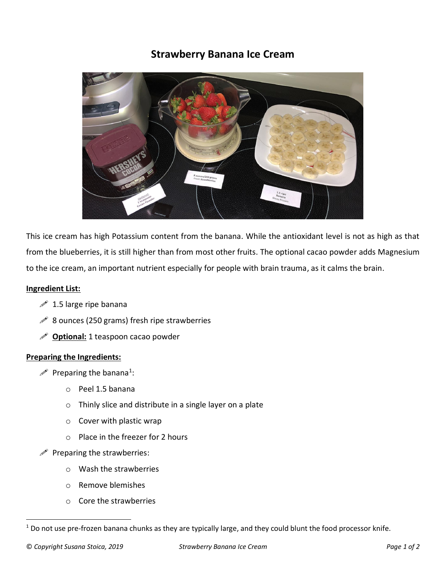## **Strawberry Banana Ice Cream**



This ice cream has high Potassium content from the banana. While the antioxidant level is not as high as that from the blueberries, it is still higher than from most other fruits. The optional cacao powder adds Magnesium to the ice cream, an important nutrient especially for people with brain trauma, as it calms the brain.

## **Ingredient List:**

- $\mathscr{P}$  1.5 large ripe banana
- $\mathscr{P}$  8 ounces (250 grams) fresh ripe strawberries
- $\mathscr{P}$  **Optional:** 1 teaspoon cacao powder

## **Preparing the Ingredients:**

- $\mathscr{P}$  Preparing the banana<sup>1</sup>:
	- o Peel 1.5 banana
	- o Thinly slice and distribute in a single layer on a plate
	- o Cover with plastic wrap
	- o Place in the freezer for 2 hours
- $\mathscr{P}$  Preparing the strawberries:
	- o Wash the strawberries
	- o Remove blemishes
	- o Core the strawberries

 $1$  Do not use pre-frozen banana chunks as they are typically large, and they could blunt the food processor knife.